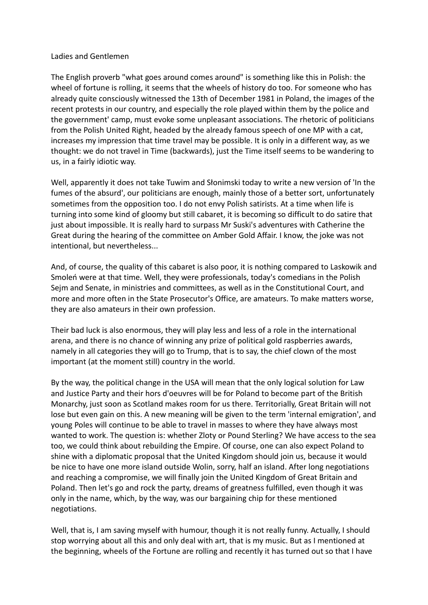## Ladies and Gentlemen

The English proverb "what goes around comes around" is something like this in Polish: the wheel of fortune is rolling, it seems that the wheels of history do too. For someone who has already quite consciously witnessed the 13th of December 1981 in Poland, the images of the recent protests in our country, and especially the role played within them by the police and the government' camp, must evoke some unpleasant associations. The rhetoric of politicians from the Polish United Right, headed by the already famous speech of one MP with a cat, increases my impression that time travel may be possible. It is only in a different way, as we thought: we do not travel in Time (backwards), just the Time itself seems to be wandering to us, in a fairly idiotic way.

Well, apparently it does not take Tuwim and Słonimski today to write a new version of 'In the fumes of the absurd', our politicians are enough, mainly those of a better sort, unfortunately sometimes from the opposition too. I do not envy Polish satirists. At a time when life is turning into some kind of gloomy but still cabaret, it is becoming so difficult to do satire that just about impossible. It is really hard to surpass Mr Suski's adventures with Catherine the Great during the hearing of the committee on Amber Gold Affair. I know, the joke was not intentional, but nevertheless...

And, of course, the quality of this cabaret is also poor, it is nothing compared to Laskowik and Smoleń were at that time. Well, they were professionals, today's comedians in the Polish Sejm and Senate, in ministries and committees, as well as in the Constitutional Court, and more and more often in the State Prosecutor's Office, are amateurs. To make matters worse, they are also amateurs in their own profession.

Their bad luck is also enormous, they will play less and less of a role in the international arena, and there is no chance of winning any prize of political gold raspberries awards, namely in all categories they will go to Trump, that is to say, the chief clown of the most important (at the moment still) country in the world.

By the way, the political change in the USA will mean that the only logical solution for Law and Justice Party and their hors d'oeuvres will be for Poland to become part of the British Monarchy, just soon as Scotland makes room for us there. Territorially, Great Britain will not lose but even gain on this. A new meaning will be given to the term 'internal emigration', and young Poles will continue to be able to travel in masses to where they have always most wanted to work. The question is: whether Zloty or Pound Sterling? We have access to the sea too, we could think about rebuilding the Empire. Of course, one can also expect Poland to shine with a diplomatic proposal that the United Kingdom should join us, because it would be nice to have one more island outside Wolin, sorry, half an island. After long negotiations and reaching a compromise, we will finally join the United Kingdom of Great Britain and Poland. Then let's go and rock the party, dreams of greatness fulfilled, even though it was only in the name, which, by the way, was our bargaining chip for these mentioned negotiations.

Well, that is, I am saving myself with humour, though it is not really funny. Actually, I should stop worrying about all this and only deal with art, that is my music. But as I mentioned at the beginning, wheels of the Fortune are rolling and recently it has turned out so that I have